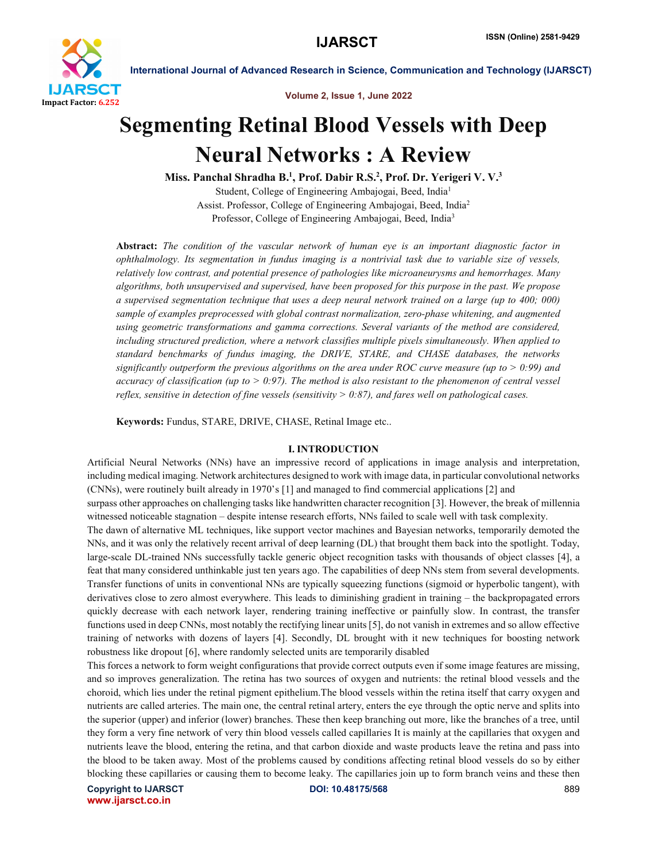

Volume 2, Issue 1, June 2022

# Segmenting Retinal Blood Vessels with Deep Neural Networks : A Review

Miss. Panchal Shradha B.<sup>1</sup>, Prof. Dabir R.S.<sup>2</sup>, Prof. Dr. Yerigeri V. V.<sup>3</sup> Student, College of Engineering Ambajogai, Beed, India1 Assist. Professor, College of Engineering Ambajogai, Beed, India2 Professor, College of Engineering Ambajogai, Beed, India3

Abstract: *The condition of the vascular network of human eye is an important diagnostic factor in ophthalmology. Its segmentation in fundus imaging is a nontrivial task due to variable size of vessels, relatively low contrast, and potential presence of pathologies like microaneurysms and hemorrhages. Many algorithms, both unsupervised and supervised, have been proposed for this purpose in the past. We propose a supervised segmentation technique that uses a deep neural network trained on a large (up to 400; 000) sample of examples preprocessed with global contrast normalization, zero-phase whitening, and augmented using geometric transformations and gamma corrections. Several variants of the method are considered, including structured prediction, where a network classifies multiple pixels simultaneously. When applied to standard benchmarks of fundus imaging, the DRIVE, STARE, and CHASE databases, the networks significantly outperform the previous algorithms on the area under ROC curve measure (up to > 0:99) and accuracy of classification (up to > 0:97). The method is also resistant to the phenomenon of central vessel reflex, sensitive in detection of fine vessels (sensitivity > 0:87), and fares well on pathological cases.*

Keywords: Fundus, STARE, DRIVE, CHASE, Retinal Image etc..

### I. INTRODUCTION

Artificial Neural Networks (NNs) have an impressive record of applications in image analysis and interpretation, including medical imaging. Network architectures designed to work with image data, in particular convolutional networks (CNNs), were routinely built already in 1970's [1] and managed to find commercial applications [2] and surpass other approaches on challenging tasks like handwritten character recognition [3]. However, the break of millennia witnessed noticeable stagnation – despite intense research efforts, NNs failed to scale well with task complexity. The dawn of alternative ML techniques, like support vector machines and Bayesian networks, temporarily demoted the NNs, and it was only the relatively recent arrival of deep learning (DL) that brought them back into the spotlight. Today, large-scale DL-trained NNs successfully tackle generic object recognition tasks with thousands of object classes [4], a feat that many considered unthinkable just ten years ago. The capabilities of deep NNs stem from several developments. Transfer functions of units in conventional NNs are typically squeezing functions (sigmoid or hyperbolic tangent), with derivatives close to zero almost everywhere. This leads to diminishing gradient in training – the backpropagated errors quickly decrease with each network layer, rendering training ineffective or painfully slow. In contrast, the transfer functions used in deep CNNs, most notably the rectifying linear units [5], do not vanish in extremes and so allow effective training of networks with dozens of layers [4]. Secondly, DL brought with it new techniques for boosting network robustness like dropout [6], where randomly selected units are temporarily disabled

This forces a network to form weight configurations that provide correct outputs even if some image features are missing, and so improves generalization. The retina has two sources of oxygen and nutrients: the retinal blood vessels and the choroid, which lies under the retinal pigment epithelium.The blood vessels within the retina itself that carry oxygen and nutrients are called arteries. The main one, the central retinal artery, enters the eye through the optic nerve and splits into the superior (upper) and inferior (lower) branches. These then keep branching out more, like the branches of a tree, until they form a very fine network of very thin blood vessels called capillaries It is mainly at the capillaries that oxygen and nutrients leave the blood, entering the retina, and that carbon dioxide and waste products leave the retina and pass into the blood to be taken away. Most of the problems caused by conditions affecting retinal blood vessels do so by either blocking these capillaries or causing them to become leaky. The capillaries join up to form branch veins and these then

Copyright to IJARSCT **DOI: 10.48175/568** 889 www.ijarsct.co.in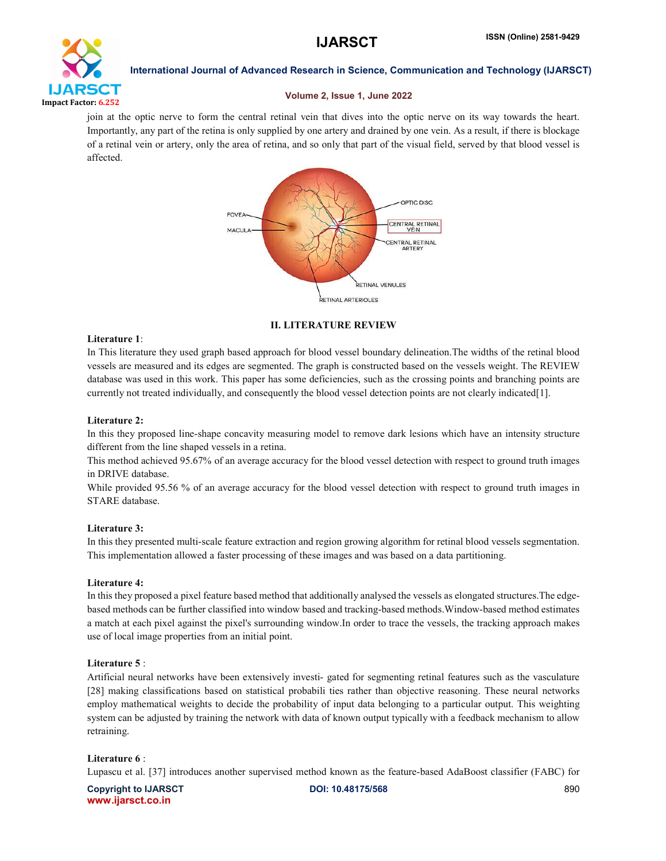

# Volume 2, Issue 1, June 2022

join at the optic nerve to form the central retinal vein that dives into the optic nerve on its way towards the heart. Importantly, any part of the retina is only supplied by one artery and drained by one vein. As a result, if there is blockage of a retinal vein or artery, only the area of retina, and so only that part of the visual field, served by that blood vessel is affected.



II. LITERATURE REVIEW

# Literature 1:

In This literature they used graph based approach for blood vessel boundary delineation.The widths of the retinal blood vessels are measured and its edges are segmented. The graph is constructed based on the vessels weight. The REVIEW database was used in this work. This paper has some deficiencies, such as the crossing points and branching points are currently not treated individually, and consequently the blood vessel detection points are not clearly indicated[1].

# Literature 2:

In this they proposed line-shape concavity measuring model to remove dark lesions which have an intensity structure different from the line shaped vessels in a retina.

This method achieved 95.67% of an average accuracy for the blood vessel detection with respect to ground truth images in DRIVE database.

While provided 95.56 % of an average accuracy for the blood vessel detection with respect to ground truth images in STARE database.

# Literature 3:

In this they presented multi-scale feature extraction and region growing algorithm for retinal blood vessels segmentation. This implementation allowed a faster processing of these images and was based on a data partitioning.

# Literature 4:

In this they proposed a pixel feature based method that additionally analysed the vessels as elongated structures.The edgebased methods can be further classified into window based and tracking-based methods.Window-based method estimates a match at each pixel against the pixel's surrounding window.In order to trace the vessels, the tracking approach makes use of local image properties from an initial point.

# Literature 5 :

Artificial neural networks have been extensively investi- gated for segmenting retinal features such as the vasculature [28] making classifications based on statistical probabili ties rather than objective reasoning. These neural networks employ mathematical weights to decide the probability of input data belonging to a particular output. This weighting system can be adjusted by training the network with data of known output typically with a feedback mechanism to allow retraining.

# Literature 6 :

Lupascu et al. [37] introduces another supervised method known as the feature-based AdaBoost classifier (FABC) for

Copyright to IJARSCT **DOI: 10.48175/568** 890 www.ijarsct.co.in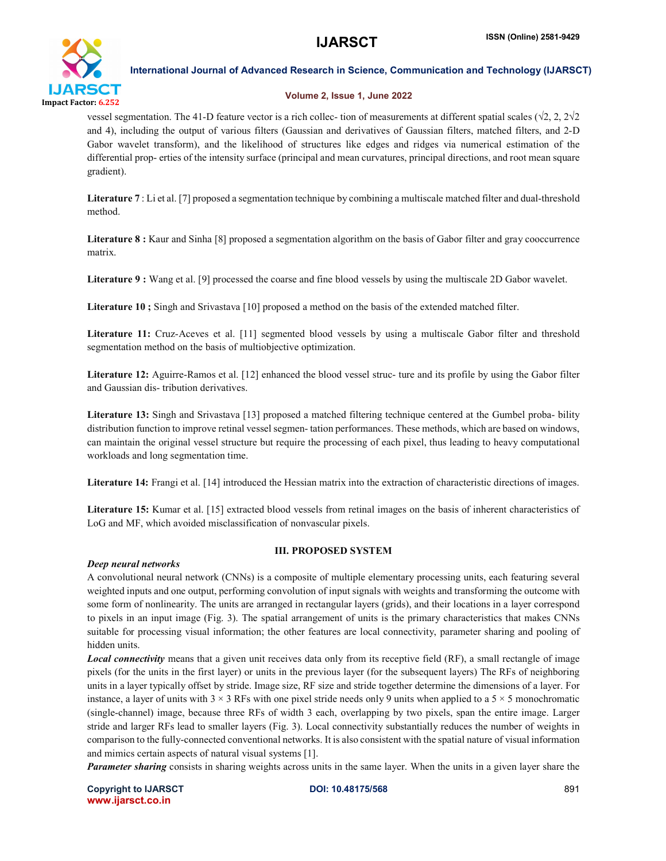

### Volume 2, Issue 1, June 2022

vessel segmentation. The 41-D feature vector is a rich collec- tion of measurements at different spatial scales (√2, 2, 2√2 and 4), including the output of various filters (Gaussian and derivatives of Gaussian filters, matched filters, and 2-D Gabor wavelet transform), and the likelihood of structures like edges and ridges via numerical estimation of the differential prop- erties of the intensity surface (principal and mean curvatures, principal directions, and root mean square gradient).

Literature 7 : Li et al. [7] proposed a segmentation technique by combining a multiscale matched filter and dual-threshold method.

Literature 8 : Kaur and Sinha [8] proposed a segmentation algorithm on the basis of Gabor filter and gray cooccurrence matrix.

Literature 9 : Wang et al. [9] processed the coarse and fine blood vessels by using the multiscale 2D Gabor wavelet.

Literature 10; Singh and Srivastava [10] proposed a method on the basis of the extended matched filter.

Literature 11: Cruz-Aceves et al. [11] segmented blood vessels by using a multiscale Gabor filter and threshold segmentation method on the basis of multiobjective optimization.

Literature 12: Aguirre-Ramos et al. [12] enhanced the blood vessel struc- ture and its profile by using the Gabor filter and Gaussian dis- tribution derivatives.

Literature 13: Singh and Srivastava [13] proposed a matched filtering technique centered at the Gumbel proba- bility distribution function to improve retinal vessel segmen- tation performances. These methods, which are based on windows, can maintain the original vessel structure but require the processing of each pixel, thus leading to heavy computational workloads and long segmentation time.

Literature 14: Frangi et al. [14] introduced the Hessian matrix into the extraction of characteristic directions of images.

Literature 15: Kumar et al. [15] extracted blood vessels from retinal images on the basis of inherent characteristics of LoG and MF, which avoided misclassification of nonvascular pixels.

# III. PROPOSED SYSTEM

### *Deep neural networks*

A convolutional neural network (CNNs) is a composite of multiple elementary processing units, each featuring several weighted inputs and one output, performing convolution of input signals with weights and transforming the outcome with some form of nonlinearity. The units are arranged in rectangular layers (grids), and their locations in a layer correspond to pixels in an input image (Fig. 3). The spatial arrangement of units is the primary characteristics that makes CNNs suitable for processing visual information; the other features are local connectivity, parameter sharing and pooling of hidden units.

*Local connectivity* means that a given unit receives data only from its receptive field (RF), a small rectangle of image pixels (for the units in the first layer) or units in the previous layer (for the subsequent layers) The RFs of neighboring units in a layer typically offset by stride. Image size, RF size and stride together determine the dimensions of a layer. For instance, a layer of units with  $3 \times 3$  RFs with one pixel stride needs only 9 units when applied to a  $5 \times 5$  monochromatic (single-channel) image, because three RFs of width 3 each, overlapping by two pixels, span the entire image. Larger stride and larger RFs lead to smaller layers (Fig. 3). Local connectivity substantially reduces the number of weights in comparison to the fully-connected conventional networks. It is also consistent with the spatial nature of visual information and mimics certain aspects of natural visual systems [1].

*Parameter sharing* consists in sharing weights across units in the same layer. When the units in a given layer share the

Copyright to IJARSCT **DOI: 10.48175/568** 891 www.ijarsct.co.in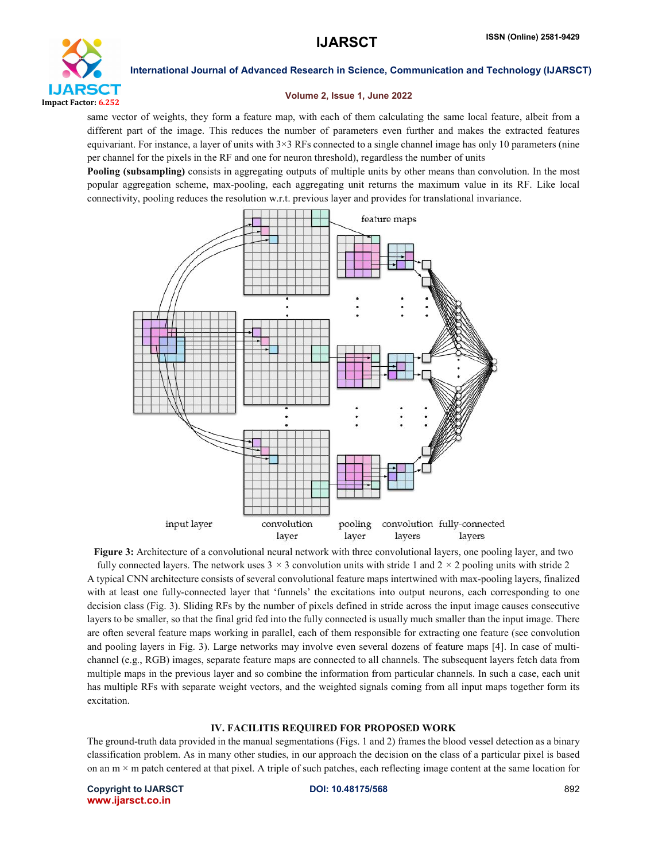

### Volume 2, Issue 1, June 2022

same vector of weights, they form a feature map, with each of them calculating the same local feature, albeit from a different part of the image. This reduces the number of parameters even further and makes the extracted features equivariant. For instance, a layer of units with  $3\times3$  RFs connected to a single channel image has only 10 parameters (nine per channel for the pixels in the RF and one for neuron threshold), regardless the number of units

Pooling (subsampling) consists in aggregating outputs of multiple units by other means than convolution. In the most popular aggregation scheme, max-pooling, each aggregating unit returns the maximum value in its RF. Like local connectivity, pooling reduces the resolution w.r.t. previous layer and provides for translational invariance.



Figure 3: Architecture of a convolutional neural network with three convolutional layers, one pooling layer, and two

fully connected layers. The network uses  $3 \times 3$  convolution units with stride 1 and  $2 \times 2$  pooling units with stride 2 A typical CNN architecture consists of several convolutional feature maps intertwined with max-pooling layers, finalized with at least one fully-connected layer that 'funnels' the excitations into output neurons, each corresponding to one decision class (Fig. 3). Sliding RFs by the number of pixels defined in stride across the input image causes consecutive layers to be smaller, so that the final grid fed into the fully connected is usually much smaller than the input image. There are often several feature maps working in parallel, each of them responsible for extracting one feature (see convolution and pooling layers in Fig. 3). Large networks may involve even several dozens of feature maps [4]. In case of multichannel (e.g., RGB) images, separate feature maps are connected to all channels. The subsequent layers fetch data from multiple maps in the previous layer and so combine the information from particular channels. In such a case, each unit has multiple RFs with separate weight vectors, and the weighted signals coming from all input maps together form its excitation.

# IV. FACILITIS REQUIRED FOR PROPOSED WORK

The ground-truth data provided in the manual segmentations (Figs. 1 and 2) frames the blood vessel detection as a binary classification problem. As in many other studies, in our approach the decision on the class of a particular pixel is based on an  $m \times m$  patch centered at that pixel. A triple of such patches, each reflecting image content at the same location for

Copyright to IJARSCT **DOI: 10.48175/568** 892 www.ijarsct.co.in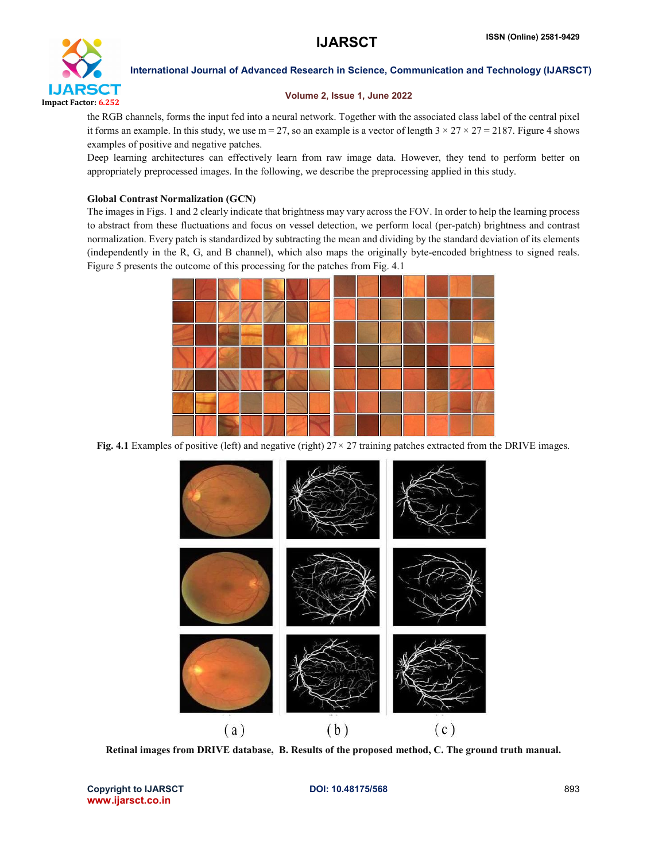

## Volume 2, Issue 1, June 2022

the RGB channels, forms the input fed into a neural network. Together with the associated class label of the central pixel it forms an example. In this study, we use m = 27, so an example is a vector of length  $3 \times 27 \times 27 = 2187$ . Figure 4 shows examples of positive and negative patches.

Deep learning architectures can effectively learn from raw image data. However, they tend to perform better on appropriately preprocessed images. In the following, we describe the preprocessing applied in this study.

# Global Contrast Normalization (GCN)

The images in Figs. 1 and 2 clearly indicate that brightness may vary across the FOV. In order to help the learning process to abstract from these fluctuations and focus on vessel detection, we perform local (per-patch) brightness and contrast normalization. Every patch is standardized by subtracting the mean and dividing by the standard deviation of its elements (independently in the R, G, and B channel), which also maps the originally byte-encoded brightness to signed reals. Figure 5 presents the outcome of this processing for the patches from Fig. 4.1



Fig. 4.1 Examples of positive (left) and negative (right) 27*×* 27 training patches extracted from the DRIVE images.



Retinal images from DRIVE database, B. Results of the proposed method, C. The ground truth manual.

Copyright to IJARSCT **DOI: 10.48175/568** 893 www.ijarsct.co.in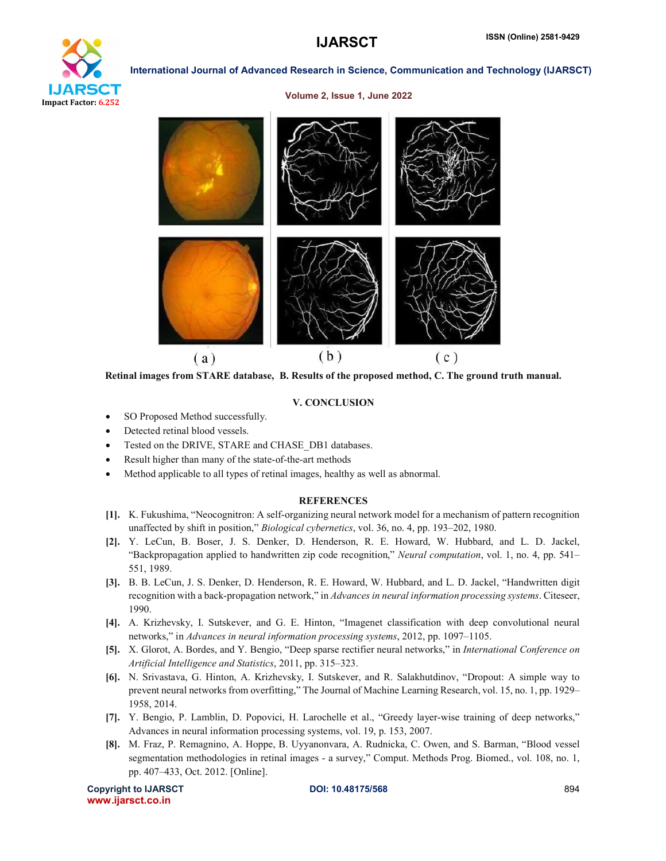

### Volume 2, Issue 1, June 2022



Retinal images from STARE database, B. Results of the proposed method, C. The ground truth manual.

### V. CONCLUSION

- SO Proposed Method successfully.
- Detected retinal blood vessels.
- Tested on the DRIVE, STARE and CHASE\_DB1 databases.
- Result higher than many of the state-of-the-art methods
- Method applicable to all types of retinal images, healthy as well as abnormal.

### **REFERENCES**

- [1]. K. Fukushima, "Neocognitron: A self-organizing neural network model for a mechanism of pattern recognition unaffected by shift in position," *Biological cybernetics*, vol. 36, no. 4, pp. 193–202, 1980.
- [2]. Y. LeCun, B. Boser, J. S. Denker, D. Henderson, R. E. Howard, W. Hubbard, and L. D. Jackel, "Backpropagation applied to handwritten zip code recognition," *Neural computation*, vol. 1, no. 4, pp. 541– 551, 1989.
- [3]. B. B. LeCun, J. S. Denker, D. Henderson, R. E. Howard, W. Hubbard, and L. D. Jackel, "Handwritten digit recognition with a back-propagation network," in *Advances in neural information processing systems*. Citeseer, 1990.
- [4]. A. Krizhevsky, I. Sutskever, and G. E. Hinton, "Imagenet classification with deep convolutional neural networks," in *Advances in neural information processing systems*, 2012, pp. 1097–1105.
- [5]. X. Glorot, A. Bordes, and Y. Bengio, "Deep sparse rectifier neural networks," in *International Conference on Artificial Intelligence and Statistics*, 2011, pp. 315–323.
- [6]. N. Srivastava, G. Hinton, A. Krizhevsky, I. Sutskever, and R. Salakhutdinov, "Dropout: A simple way to prevent neural networks from overfitting," The Journal of Machine Learning Research, vol. 15, no. 1, pp. 1929– 1958, 2014.
- [7]. Y. Bengio, P. Lamblin, D. Popovici, H. Larochelle et al., "Greedy layer-wise training of deep networks," Advances in neural information processing systems, vol. 19, p. 153, 2007.
- [8]. M. Fraz, P. Remagnino, A. Hoppe, B. Uyyanonvara, A. Rudnicka, C. Owen, and S. Barman, "Blood vessel segmentation methodologies in retinal images - a survey," Comput. Methods Prog. Biomed., vol. 108, no. 1, pp. 407–433, Oct. 2012. [Online].